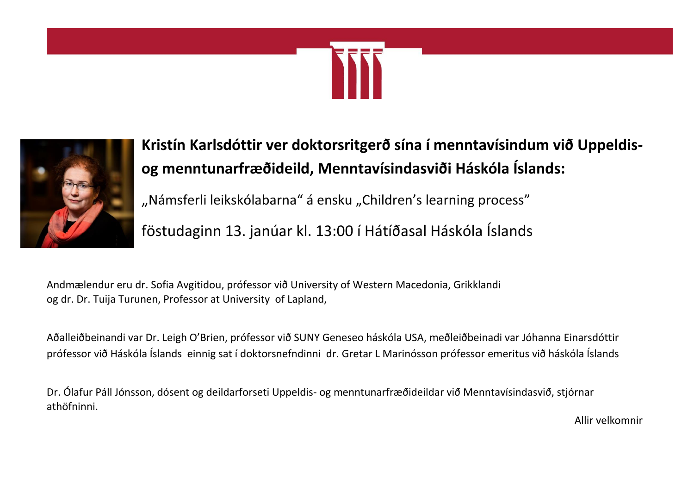



**Kristín Karlsdóttir ver doktorsritgerð sína í menntavísindum við Uppeldisog menntunarfræðideild, Menntavísindasviði Háskóla Íslands:**

"Námsferli leikskólabarna" á ensku "Children's learning process"

föstudaginn 13. janúar kl. 13:00 í Hátíðasal Háskóla Íslands

Andmælendur eru dr. Sofia Avgitidou, prófessor við University of Western Macedonia, Grikklandi og dr. Dr. Tuija Turunen, Professor at University of Lapland,

Aðalleiðbeinandi var Dr. Leigh O'Brien, prófessor við SUNY Geneseo háskóla USA, meðleiðbeinadi var Jóhanna Einarsdóttir prófessor við Háskóla Íslands einnig sat í doktorsnefndinni dr. Gretar L Marinósson prófessor emeritus við háskóla Íslands

Dr. Ólafur Páll Jónsson, dósent og deildarforseti Uppeldis- og menntunarfræðideildar við Menntavísindasvið, stjórnar athöfninni.

Allir velkomnir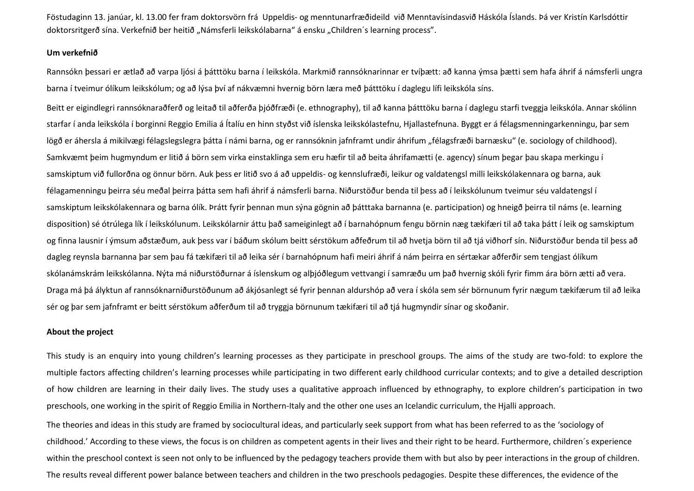Föstudaginn 13. janúar, kl. 13.00 fer fram doktorsvörn frá Uppeldis- og menntunarfræðideild við Menntavísindasvið Háskóla Íslands. Þá ver Kristín Karlsdóttir doktorsritgerð sína. Verkefnið ber heitið "Námsferli leikskólabarna" á ensku "Children´s learning process".

## **Um verkefnið**

Rannsókn þessari er ætlað að varpa ljósi á þátttöku barna í leikskóla. Markmið rannsóknarinnar er tvíþætt: að kanna ýmsa þætti sem hafa áhrif á námsferli ungra barna í tveimur ólíkum leikskólum; og að lýsa því af nákvæmni hvernig börn læra með þátttöku í daglegu lífi leikskóla síns.

Beitt er eigindlegri rannsóknaraðferð og leitað til aðferða þjóðfræði (e. ethnography), til að kanna þátttöku barna í daglegu starfi tveggja leikskóla. Annar skólinn starfar í anda leikskóla í borginni Reggio Emilia á Ítalíu en hinn styðst við íslenska leikskólastefnu, Hjallastefnuna. Byggt er á félagsmenningarkenningu, þar sem lögð er áhersla á mikilvægi félagslegslegra þátta í námi barna, og er rannsóknin jafnframt undir áhrifum "félagsfræði barnæsku" (e. sociology of childhood). Samkvæmt þeim hugmyndum er litið á börn sem virka einstaklinga sem eru hæfir til að beita áhrifamætti (e. agency) sínum þegar þau skapa merkingu í samskiptum við fullorðna og önnur börn. Auk þess er litið svo á að uppeldis- og kennslufræði, leikur og valdatengsl milli leikskólakennara og barna, auk félagamenningu þeirra séu meðal þeirra þátta sem hafi áhrif á námsferli barna. Niðurstöður benda til þess að í leikskólunum tveimur séu valdatengsl í samskiptum leikskólakennara og barna ólík. Þrátt fyrir þennan mun sýna gögnin að þátttaka barnanna (e. participation) og hneigð þeirra til náms (e. learning disposition) sé ótrúlega lík í leikskólunum. Leikskólarnir áttu það sameiginlegt að í barnahópnum fengu börnin næg tækifæri til að taka þátt í leik og samskiptum og finna lausnir í ýmsum aðstæðum, auk þess var í báðum skólum beitt sérstökum aðfeðrum til að hvetja börn til að tjá viðhorf sín. Niðurstöður benda til þess að dagleg reynsla barnanna þar sem þau fá tækifæri til að leika sér í barnahópnum hafi meiri áhrif á nám þeirra en sértækar aðferðir sem tengjast ólíkum skólanámskrám leikskólanna. Nýta má niðurstöðurnar á íslenskum og alþjóðlegum vettvangi í samræðu um það hvernig skóli fyrir fimm ára börn ætti að vera. Draga má þá ályktun af rannsóknarniðurstöðunum að ákjósanlegt sé fyrir þennan aldurshóp að vera í skóla sem sér börnunum fyrir nægum tækifærum til að leika sér og þar sem jafnframt er beitt sérstökum aðferðum til að tryggja börnunum tækifæri til að tjá hugmyndir sínar og skoðanir.

## **About the project**

This study is an enquiry into young children's learning processes as they participate in preschool groups. The aims of the study are two-fold: to explore the multiple factors affecting children's learning processes while participating in two different early childhood curricular contexts; and to give a detailed description of how children are learning in their daily lives. The study uses a qualitative approach influenced by ethnography, to explore children's participation in two preschools, one working in the spirit of Reggio Emilia in Northern-Italy and the other one uses an Icelandic curriculum, the Hjalli approach.

The theories and ideas in this study are framed by sociocultural ideas, and particularly seek support from what has been referred to as the 'sociology of childhood.' According to these views, the focus is on children as competent agents in their lives and their right to be heard. Furthermore, children´s experience within the preschool context is seen not only to be influenced by the pedagogy teachers provide them with but also by peer interactions in the group of children. The results reveal different power balance between teachers and children in the two preschools pedagogies. Despite these differences, the evidence of the